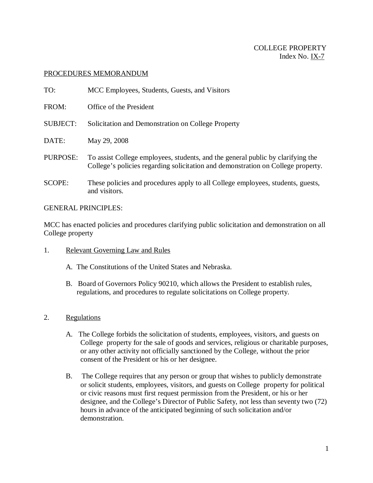# COLLEGE PROPERTY Index No. IX-7

### PROCEDURES MEMORANDUM

| TO:             | MCC Employees, Students, Guests, and Visitors                                                                                                                       |
|-----------------|---------------------------------------------------------------------------------------------------------------------------------------------------------------------|
| FROM:           | Office of the President                                                                                                                                             |
| <b>SUBJECT:</b> | Solicitation and Demonstration on College Property                                                                                                                  |
| DATE:           | May 29, 2008                                                                                                                                                        |
| PURPOSE:        | To assist College employees, students, and the general public by clarifying the<br>College's policies regarding solicitation and demonstration on College property. |
| <b>SCOPE:</b>   | These policies and procedures apply to all College employees, students, guests,<br>and visitors.                                                                    |

#### GENERAL PRINCIPLES:

MCC has enacted policies and procedures clarifying public solicitation and demonstration on all College property

- 1. Relevant Governing Law and Rules
	- A. The Constitutions of the United States and Nebraska.
	- B. Board of Governors Policy 90210, which allows the President to establish rules, regulations, and procedures to regulate solicitations on College property.

# 2. Regulations

- A. The College forbids the solicitation of students, employees, visitors, and guests on College property for the sale of goods and services, religious or charitable purposes, or any other activity not officially sanctioned by the College, without the prior consent of the President or his or her designee.
- B. The College requires that any person or group that wishes to publicly demonstrate or solicit students, employees, visitors, and guests on College property for political or civic reasons must first request permission from the President, or his or her designee, and the College's Director of Public Safety, not less than seventy two (72) hours in advance of the anticipated beginning of such solicitation and/or demonstration.